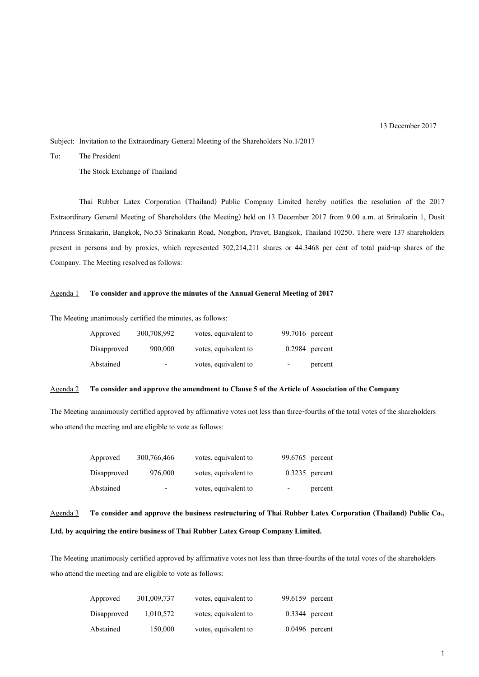13 December 2017

Subject: Invitation to the Extraordinary General Meeting of the Shareholders No.1/2017

To: The President

The Stock Exchange of Thailand

Thai Rubber Latex Corporation (Thailand) Public Company Limited hereby notifies the resolution of the 2017 Extraordinary General Meeting of Shareholders (the Meeting) held on 13 December 2017 from 9.00 a.m. at Srinakarin 1, Dusit Princess Srinakarin, Bangkok, No.53 Srinakarin Road, Nongbon, Pravet, Bangkok, Thailand 10250. There were 137 shareholders present in persons and by proxies, which represented 302,214,211 shares or 44.3468 per cent of total paid-up shares of the Company. The Meeting resolved as follows:

### Agenda 1 **To consider and approve the minutes of the Annual General Meeting of 2017**

The Meeting unanimously certified the minutes, as follows:

| Approved    | 300,708,992              | votes, equivalent to | 99.7016 percent  |         |
|-------------|--------------------------|----------------------|------------------|---------|
| Disapproved | 900,000                  | votes, equivalent to | $0.2984$ percent |         |
| Abstained   | $\overline{\phantom{a}}$ | votes, equivalent to | -                | percent |

### Agenda 2 **To consider and approve the amendment to Clause 5 of the Article of Association of the Company**

The Meeting unanimously certified approved by affirmative votes not less than three-fourths of the total votes of the shareholders who attend the meeting and are eligible to vote as follows:

| Approved    | 300,766,466 | votes, equivalent to | 99.6765 percent                     |
|-------------|-------------|----------------------|-------------------------------------|
| Disapproved | 976,000     | votes, equivalent to | $0.3235$ percent                    |
| Abstained   | -           | votes, equivalent to | percent<br>$\overline{\phantom{a}}$ |

## Agenda 3 **To consider and approve the business restructuring of Thai Rubber Latex Corporation (Thailand) Public Co.,**

### **Ltd. by acquiring the entire business of Thai Rubber Latex Group Company Limited.**

The Meeting unanimously certified approved by affirmative votes not less than three-fourths of the total votes of the shareholders who attend the meeting and are eligible to vote as follows:

| Approved    | 301,009,737 | votes, equivalent to | 99.6159 percent  |
|-------------|-------------|----------------------|------------------|
| Disapproved | 1,010,572   | votes, equivalent to | $0.3344$ percent |
| Abstained   | 150,000     | votes, equivalent to | $0.0496$ percent |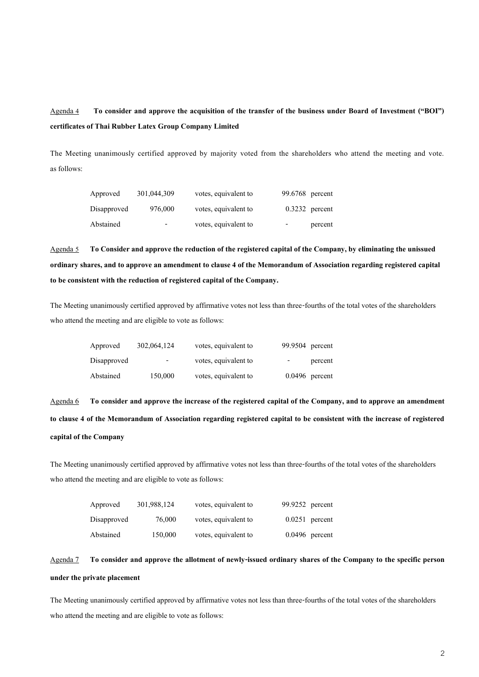# Agenda 4 **To consider and approve the acquisition of the transfer of the business under Board of Investment ("BOI") certificates of Thai Rubber Latex Group Company Limited**

The Meeting unanimously certified approved by majority voted from the shareholders who attend the meeting and vote. as follows:

| Approved    | 301,044,309              | votes, equivalent to | 99.6768 percent  |
|-------------|--------------------------|----------------------|------------------|
| Disapproved | 976,000                  | votes, equivalent to | $0.3232$ percent |
| Abstained   | $\overline{\phantom{0}}$ | votes, equivalent to | percent<br>-     |

Agenda 5 **To Consider and approve the reduction of the registered capital of the Company, by eliminating the unissued ordinary shares, and to approve an amendment to clause 4 of the Memorandum of Association regarding registered capital to be consistent with the reduction of registered capital of the Company.**

The Meeting unanimously certified approved by affirmative votes not less than three-fourths of the total votes of the shareholders who attend the meeting and are eligible to vote as follows:

| Approved    | 302,064,124              | votes, equivalent to | 99.9504 percent  |
|-------------|--------------------------|----------------------|------------------|
| Disapproved | $\overline{\phantom{a}}$ | votes, equivalent to | percent<br>-     |
| Abstained   | 150,000                  | votes, equivalent to | $0.0496$ percent |

Agenda 6 **To consider and approve the increase of the registered capital of the Company, and to approve an amendment to clause 4 of the Memorandum of Association regarding registered capital to be consistent with the increase of registered capital of the Company** 

The Meeting unanimously certified approved by affirmative votes not less than three-fourths of the total votes of the shareholders who attend the meeting and are eligible to vote as follows:

| Approved    | 301,988,124 | votes, equivalent to | 99.9252 percent  |
|-------------|-------------|----------------------|------------------|
| Disapproved | 76,000      | votes, equivalent to | $0.0251$ percent |
| Abstained   | 150,000     | votes, equivalent to | $0.0496$ percent |

# Agenda 7 **To consider and approve the allotment of newly-issued ordinary shares of the Company to the specific person under the private placement**

The Meeting unanimously certified approved by affirmative votes not less than three-fourths of the total votes of the shareholders who attend the meeting and are eligible to vote as follows: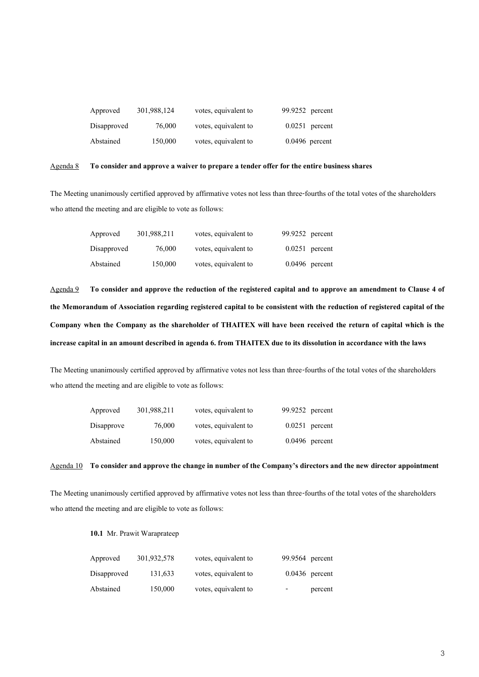| Approved    | 301,988,124 | votes, equivalent to | 99.9252 percent  |
|-------------|-------------|----------------------|------------------|
| Disapproved | 76,000      | votes, equivalent to | $0.0251$ percent |
| Abstained   | 150,000     | votes, equivalent to | $0.0496$ percent |

### Agenda 8 **To consider and approve a waiver to prepare a tender offer for the entire business shares**

The Meeting unanimously certified approved by affirmative votes not less than three-fourths of the total votes of the shareholders who attend the meeting and are eligible to vote as follows:

| Approved    | 301,988,211 | votes, equivalent to | 99.9252 percent  |
|-------------|-------------|----------------------|------------------|
| Disapproved | 76,000      | votes, equivalent to | $0.0251$ percent |
| Abstained   | 150,000     | votes, equivalent to | $0.0496$ percent |

Agenda 9 **To consider and approve the reduction of the registered capital and to approve an amendment to Clause 4 of the Memorandum of Association regarding registered capital to be consistent with the reduction of registered capital of the Company when the Company as the shareholder of THAITEX will have been received the return of capital which is the increase capital in an amount described in agenda 6. from THAITEX due to its dissolutionin accordance with the laws**

The Meeting unanimously certified approved by affirmative votes not less than three-fourths of the total votes of the shareholders who attend the meeting and are eligible to vote as follows:

| Approved   | 301,988,211 | votes, equivalent to | 99.9252 percent  |
|------------|-------------|----------------------|------------------|
| Disapprove | 76,000      | votes, equivalent to | $0.0251$ percent |
| Abstained  | 150,000     | votes, equivalent to | $0.0496$ percent |

#### Agenda 10 **To consider and approve the change in number of the Company's directors and the new director appointment**

The Meeting unanimously certified approved by affirmative votes not less than three-fourths of the total votes of the shareholders who attend the meeting and are eligible to vote as follows:

**10.1** Mr. Prawit Waraprateep

| Approved    | 301,932,578 | votes, equivalent to | 99.9564 percent |                  |
|-------------|-------------|----------------------|-----------------|------------------|
| Disapproved | 131,633     | votes, equivalent to |                 | $0.0436$ percent |
| Abstained   | 150,000     | votes, equivalent to | -               | percent          |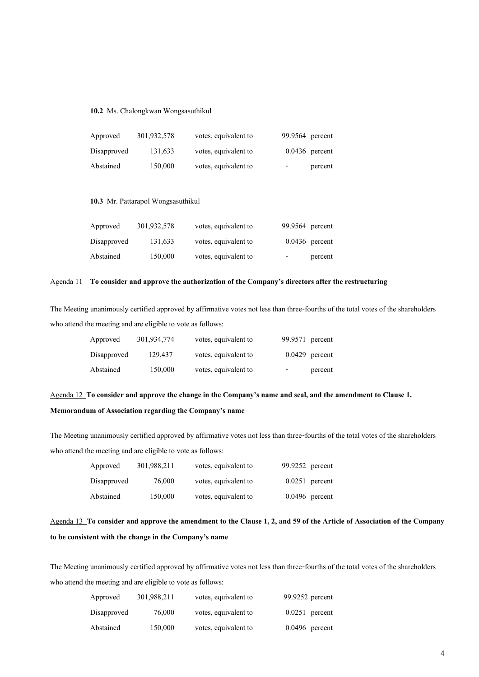**10.2** Ms. Chalongkwan Wongsasuthikul

| Approved    | 301,932,578 | votes, equivalent to | 99.9564 percent  |
|-------------|-------------|----------------------|------------------|
| Disapproved | 131,633     | votes, equivalent to | $0.0436$ percent |
| Abstained   | 150,000     | votes, equivalent to | percent<br>-     |

### **10.3** Mr. Pattarapol Wongsasuthikul

| Approved    | 301,932,578 | votes, equivalent to | 99.9564 percent                     |
|-------------|-------------|----------------------|-------------------------------------|
| Disapproved | 131,633     | votes, equivalent to | $0.0436$ percent                    |
| Abstained   | 150,000     | votes, equivalent to | percent<br>$\overline{\phantom{a}}$ |

### Agenda 11 **To consider and approve the authorization of the Company's directors after the restructuring**

The Meeting unanimously certified approved by affirmative votes not less than three-fourths of the total votes of the shareholders who attend the meeting and are eligible to vote as follows:

| Approved    | 301,934,774 | votes, equivalent to | 99.9571 percent |                  |
|-------------|-------------|----------------------|-----------------|------------------|
| Disapproved | 129.437     | votes, equivalent to |                 | $0.0429$ percent |
| Abstained   | 150,000     | votes, equivalent to | -               | percent          |

Agenda 12 **To consider and approve the change in the Company's name and seal, and the amendment to Clause 1. Memorandum of Association regarding the Company's name**

The Meeting unanimously certified approved by affirmative votes not less than three-fourths of the total votes of the shareholders who attend the meeting and are eligible to vote as follows:

| Approved    | 301,988,211 | votes, equivalent to | 99.9252 percent  |
|-------------|-------------|----------------------|------------------|
| Disapproved | 76,000      | votes, equivalent to | $0.0251$ percent |
| Abstained   | 150,000     | votes, equivalent to | $0.0496$ percent |

Agenda 13 **To consider and approve the amendment to the Clause 1, 2, and 59 of the Article of Association of the Company to be consistent with the change in the Company's name**

The Meeting unanimously certified approved by affirmative votes not less than three-fourths of the total votes of the shareholders who attend the meeting and are eligible to vote as follows:

| Approved    | 301,988,211 | votes, equivalent to | 99.9252 percent  |
|-------------|-------------|----------------------|------------------|
| Disapproved | 76,000      | votes, equivalent to | $0.0251$ percent |
| Abstained   | 150,000     | votes, equivalent to | $0.0496$ percent |